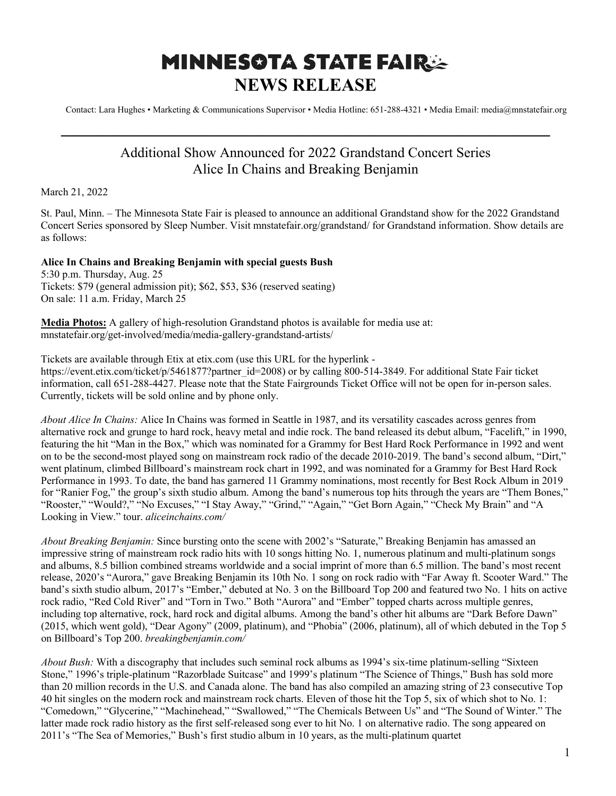## **MINNESOTA STATE FAIRSE NEWS RELEASE**

Contact: Lara Hughes • Marketing & Communications Supervisor • Media Hotline: 651-288-4321 • Media Email: media@mnstatefair.org

## Additional Show Announced for 2022 Grandstand Concert Series Alice In Chains and Breaking Benjamin

**———————————————————————————**

March 21, 2022

St. Paul, Minn. – The Minnesota State Fair is pleased to announce an additional Grandstand show for the 2022 Grandstand Concert Series sponsored by Sleep Number. Visit mnstatefair.org/grandstand/ for Grandstand information. Show details are as follows:

## **Alice In Chains and Breaking Benjamin with special guests Bush**

5:30 p.m. Thursday, Aug. 25 Tickets: \$79 (general admission pit); \$62, \$53, \$36 (reserved seating) On sale: 11 a.m. Friday, March 25

**Media Photos:** A gallery of high-resolution Grandstand photos is available for media use at: mnstatefair.org/get-involved/media/media-gallery-grandstand-artists/

Tickets are available through Etix at etix.com (use this URL for the hyperlink https://event.etix.com/ticket/p/5461877?partner\_id=2008) or by calling 800-514-3849. For additional State Fair ticket information, call 651-288-4427. Please note that the State Fairgrounds Ticket Office will not be open for in-person sales. Currently, tickets will be sold online and by phone only.

*About Alice In Chains:* Alice In Chains was formed in Seattle in 1987, and its versatility cascades across genres from alternative rock and grunge to hard rock, heavy metal and indie rock. The band released its debut album, "Facelift," in 1990, featuring the hit "Man in the Box," which was nominated for a Grammy for Best Hard Rock Performance in 1992 and went on to be the second-most played song on mainstream rock radio of the decade 2010-2019. The band's second album, "Dirt," went platinum, climbed Billboard's mainstream rock chart in 1992, and was nominated for a Grammy for Best Hard Rock Performance in 1993. To date, the band has garnered 11 Grammy nominations, most recently for Best Rock Album in 2019 for "Ranier Fog," the group's sixth studio album. Among the band's numerous top hits through the years are "Them Bones," "Rooster," "Would?," "No Excuses," "I Stay Away," "Grind," "Again," "Get Born Again," "Check My Brain" and "A Looking in View." tour. *aliceinchains.com/*

*About Breaking Benjamin:* Since bursting onto the scene with 2002's "Saturate," Breaking Benjamin has amassed an impressive string of mainstream rock radio hits with 10 songs hitting No. 1, numerous platinum and multi-platinum songs and albums, 8.5 billion combined streams worldwide and a social imprint of more than 6.5 million. The band's most recent release, 2020's "Aurora," gave Breaking Benjamin its 10th No. 1 song on rock radio with "Far Away ft. Scooter Ward." The band's sixth studio album, 2017's "Ember," debuted at No. 3 on the Billboard Top 200 and featured two No. 1 hits on active rock radio, "Red Cold River" and "Torn in Two." Both "Aurora" and "Ember" topped charts across multiple genres, including top alternative, rock, hard rock and digital albums. Among the band's other hit albums are "Dark Before Dawn" (2015, which went gold), "Dear Agony" (2009, platinum), and "Phobia" (2006, platinum), all of which debuted in the Top 5 on Billboard's Top 200. *breakingbenjamin.com/*

*About Bush:* With a discography that includes such seminal rock albums as 1994's six-time platinum-selling "Sixteen Stone," 1996's triple-platinum "Razorblade Suitcase" and 1999's platinum "The Science of Things," Bush has sold more than 20 million records in the U.S. and Canada alone. The band has also compiled an amazing string of 23 consecutive Top 40 hit singles on the modern rock and mainstream rock charts. Eleven of those hit the Top 5, six of which shot to No. 1: "Comedown," "Glycerine," "Machinehead," "Swallowed," "The Chemicals Between Us" and "The Sound of Winter." The latter made rock radio history as the first self-released song ever to hit No. 1 on alternative radio. The song appeared on 2011's "The Sea of Memories," Bush's first studio album in 10 years, as the multi-platinum quartet